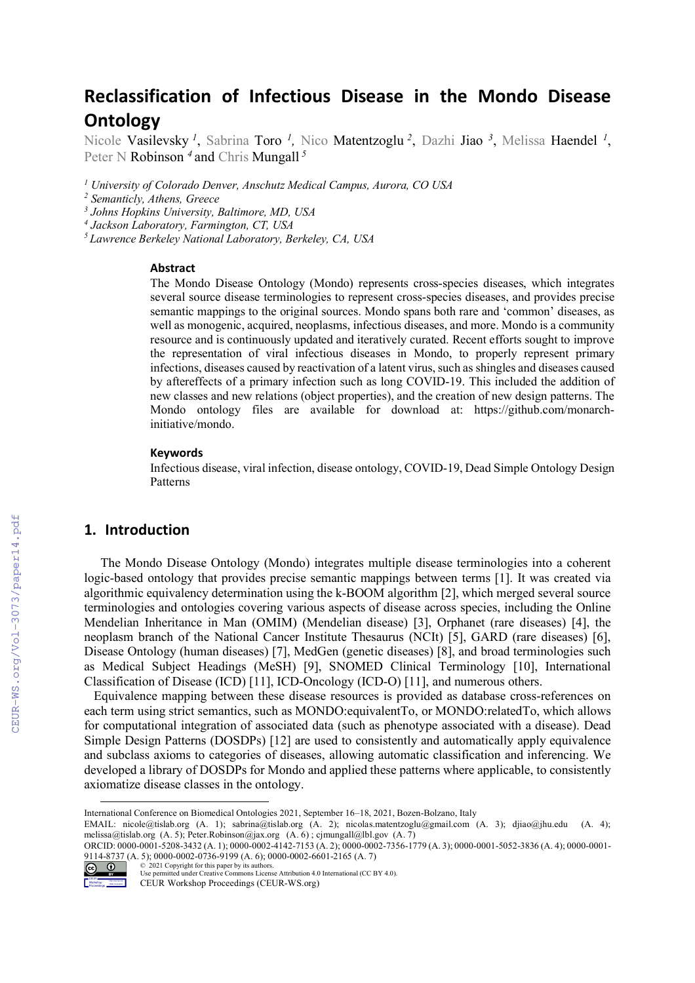# **Reclassification of Infectious Disease in the Mondo Disease Ontology**

Nicole Vasilevsky *<sup>1</sup>*, Sabrina Toro *1,* Nico Matentzoglu *<sup>2</sup>*, Dazhi Jiao *<sup>3</sup>*, Melissa Haendel *<sup>1</sup>* , Peter N Robinson <sup>4</sup> and Chris Mungall<sup>5</sup>

*<sup>1</sup> University of Colorado Denver, Anschutz Medical Campus, Aurora, CO USA*

*<sup>2</sup> Semanticly, Athens, Greece*

*<sup>3</sup> Johns Hopkins University, Baltimore, MD, USA*

*<sup>4</sup> Jackson Laboratory, Farmington, CT, USA*

*5 Lawrence Berkeley National Laboratory, Berkeley, CA, USA*

#### **Abstract**

The Mondo Disease Ontology (Mondo) represents cross-species diseases, which integrates several source disease terminologies to represent cross-species diseases, and provides precise semantic mappings to the original sources. Mondo spans both rare and 'common' diseases, as well as monogenic, acquired, neoplasms, infectious diseases, and more. Mondo is a community resource and is continuously updated and iteratively curated. Recent efforts sought to improve the representation of viral infectious diseases in Mondo, to properly represent primary infections, diseases caused by reactivation of a latent virus, such as shingles and diseases caused by aftereffects of a primary infection such as long COVID-19. This included the addition of new classes and new relations (object properties), and the creation of new design patterns. The Mondo ontology files are available for download at: https://github.com/monarchinitiative/mondo.

#### **Keywords**

Infectious disease, viral infection, disease ontology, COVID-19, Dead Simple Ontology Design Patterns

## **1. Introduction**

The Mondo Disease Ontology (Mondo) integrates multiple disease terminologies into a coherent logic-based ontology that provides precise semantic mappings between terms [1]. It was created via algorithmic equivalency determination using the k-BOOM algorithm [2], which merged several source terminologies and ontologies covering various aspects of disease across species, including the Online Mendelian Inheritance in Man (OMIM) (Mendelian disease) [3], Orphanet (rare diseases) [4], the neoplasm branch of the National Cancer Institute Thesaurus (NCIt) [5], GARD (rare diseases) [6], Disease Ontology (human diseases) [7], MedGen (genetic diseases) [8], and broad terminologies such as Medical Subject Headings (MeSH) [9], SNOMED Clinical Terminology [10], International Classification of Disease (ICD) [11], ICD-Oncology (ICD-O) [11], and numerous others.

 Equivalence mapping between these disease resources is provided as database cross-references on each term using strict semantics, such as MONDO:equivalentTo, or MONDO:relatedTo, which allows for computational integration of associated data (such as phenotype associated with a disease). Dead Simple Design Patterns (DOSDPs) [12] are used to consistently and automatically apply equivalence and subclass axioms to categories of diseases, allowing automatic classification and inferencing. We developed a library of DOSDPs for Mondo and applied these patterns where applicable, to consistently axiomatize disease classes in the ontology.

ORCID: 0000-0001-5208-3432 (A. 1); 0000-0002-4142-7153 (A. 2); 0000-0002-7356-1779 (A. 3); 0000-0001-5052-3836 (A. 4); 0000-0001- 9114-8737 (A. 5); 0000-0002-0736-9199 (A. 6); 0000-0002-6601-2165 (A. 7) © 2021 Copyright for this paper by its authors.



Use permitted under Creative Commons License Attribution 4.0 International (CC BY 4.0).

International Conference on Biomedical Ontologies 2021, September 16–18, 2021, Bozen-Bolzano, Italy

EMAIL: nicole@tislab.org (A. 1); sabrina@tislab.org (A. 2); nicolas.matentzoglu@gmail.com (A. 3); djiao@jhu.edu (A. 4); melissa@tislab.org (A. 5); Peter.Robinson@jax.org (A. 6) ; cjmungall@lbl.gov (A. 7)

CEUR Workshop Proceedings (CEUR-WS.org)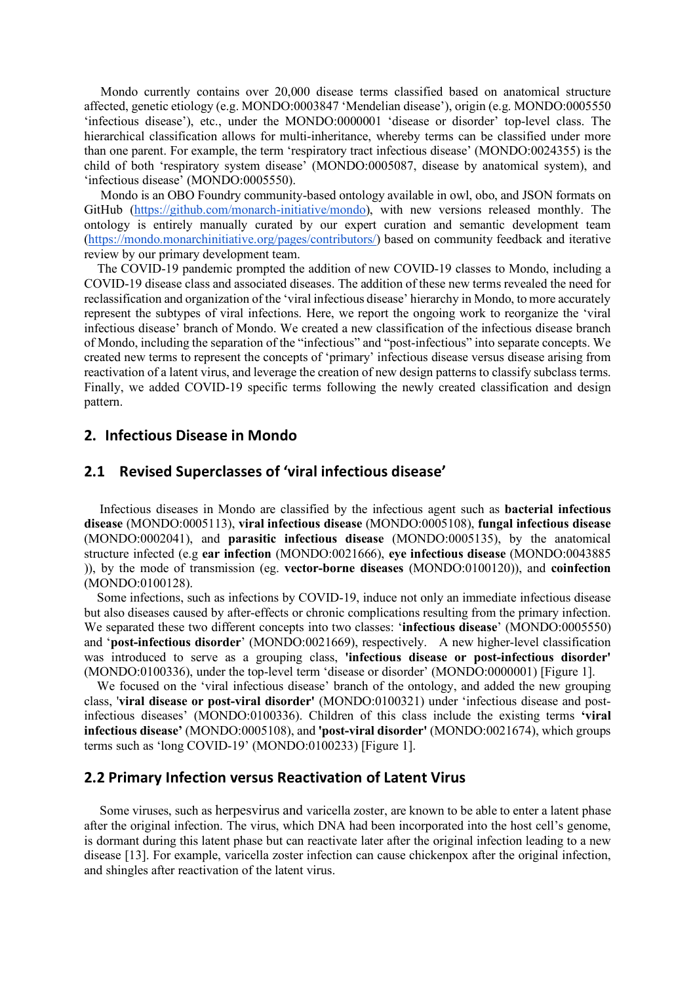Mondo currently contains over 20,000 disease terms classified based on anatomical structure affected, genetic etiology (e.g. MONDO:0003847 'Mendelian disease'), origin (e.g. MONDO:0005550 'infectious disease'), etc., under the MONDO:0000001 'disease or disorder' top-level class. The hierarchical classification allows for multi-inheritance, whereby terms can be classified under more than one parent. For example, the term 'respiratory tract infectious disease' (MONDO:0024355) is the child of both 'respiratory system disease' (MONDO:0005087, disease by anatomical system), and 'infectious disease' (MONDO:0005550).

Mondo is an OBO Foundry community-based ontology available in owl, obo, and JSON formats on GitHub (https://github.com/monarch-initiative/mondo), with new versions released monthly. The ontology is entirely manually curated by our expert curation and semantic development team (https://mondo.monarchinitiative.org/pages/contributors/) based on community feedback and iterative review by our primary development team.

 The COVID-19 pandemic prompted the addition of new COVID-19 classes to Mondo, including a COVID-19 disease class and associated diseases. The addition of these new terms revealed the need for reclassification and organization of the 'viral infectious disease' hierarchy in Mondo, to more accurately represent the subtypes of viral infections. Here, we report the ongoing work to reorganize the 'viral infectious disease' branch of Mondo. We created a new classification of the infectious disease branch of Mondo, including the separation of the "infectious" and "post-infectious" into separate concepts. We created new terms to represent the concepts of 'primary' infectious disease versus disease arising from reactivation of a latent virus, and leverage the creation of new design patterns to classify subclass terms. Finally, we added COVID-19 specific terms following the newly created classification and design pattern.

#### **2. Infectious Disease in Mondo**

#### **2.1 Revised Superclasses of 'viral infectious disease'**

Infectious diseases in Mondo are classified by the infectious agent such as **bacterial infectious disease** (MONDO:0005113), **viral infectious disease** (MONDO:0005108), **fungal infectious disease** (MONDO:0002041), and **parasitic infectious disease** (MONDO:0005135), by the anatomical structure infected (e.g **ear infection** (MONDO:0021666), **eye infectious disease** (MONDO:0043885 )), by the mode of transmission (eg. **vector-borne diseases** (MONDO:0100120)), and **coinfection** (MONDO:0100128).

 Some infections, such as infections by COVID-19, induce not only an immediate infectious disease but also diseases caused by after-effects or chronic complications resulting from the primary infection. We separated these two different concepts into two classes: '**infectious disease**' (MONDO:0005550) and '**post-infectious disorder**' (MONDO:0021669), respectively. A new higher-level classification was introduced to serve as a grouping class, **'infectious disease or post-infectious disorder'**  (MONDO:0100336), under the top-level term 'disease or disorder' (MONDO:0000001) [Figure 1].

 We focused on the 'viral infectious disease' branch of the ontology, and added the new grouping class, '**viral disease or post-viral disorder'** (MONDO:0100321) under 'infectious disease and postinfectious diseases' (MONDO:0100336). Children of this class include the existing terms **'viral infectious disease'** (MONDO:0005108), and **'post-viral disorder'** (MONDO:0021674), which groups terms such as 'long COVID-19' (MONDO:0100233) [Figure 1].

#### **2.2 Primary Infection versus Reactivation of Latent Virus**

Some viruses, such as herpesvirus and varicella zoster, are known to be able to enter a latent phase after the original infection. The virus, which DNA had been incorporated into the host cell's genome, is dormant during this latent phase but can reactivate later after the original infection leading to a new disease [13]. For example, varicella zoster infection can cause chickenpox after the original infection, and shingles after reactivation of the latent virus.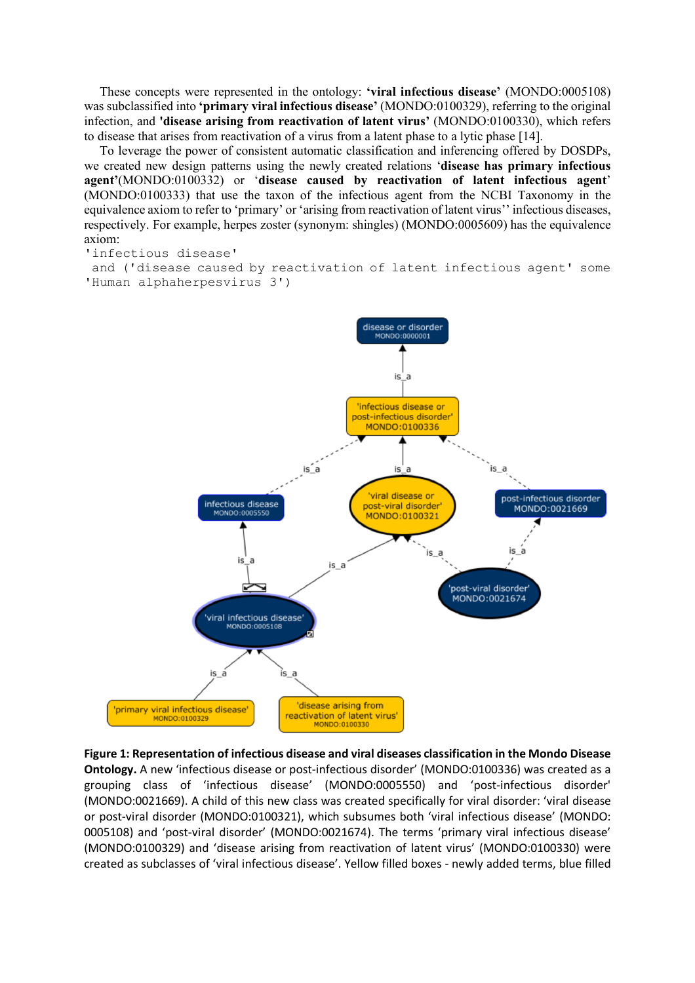These concepts were represented in the ontology: **'viral infectious disease'** (MONDO:0005108) was subclassified into **'primary viral infectious disease'** (MONDO:0100329), referring to the original infection, and **'disease arising from reactivation of latent virus'** (MONDO:0100330), which refers to disease that arises from reactivation of a virus from a latent phase to a lytic phase [14].

To leverage the power of consistent automatic classification and inferencing offered by DOSDPs, we created new design patterns using the newly created relations '**disease has primary infectious agent'**(MONDO:0100332) or '**disease caused by reactivation of latent infectious agent**' (MONDO:0100333) that use the taxon of the infectious agent from the NCBI Taxonomy in the equivalence axiom to refer to 'primary' or 'arising from reactivation of latent virus'' infectious diseases, respectively. For example, herpes zoster (synonym: shingles) (MONDO:0005609) has the equivalence axiom:

'infectious disease'

and ('disease caused by reactivation of latent infectious agent' some 'Human alphaherpesvirus 3')



**Figure 1: Representation of infectious disease and viral diseases classification in the Mondo Disease Ontology.** A new 'infectious disease or post-infectious disorder' (MONDO:0100336) was created as a grouping class of 'infectious disease' (MONDO:0005550) and 'post-infectious disorder' (MONDO:0021669). A child of this new class was created specifically for viral disorder: 'viral disease or post-viral disorder (MONDO:0100321), which subsumes both 'viral infectious disease' (MONDO: 0005108) and 'post-viral disorder' (MONDO:0021674). The terms 'primary viral infectious disease' (MONDO:0100329) and 'disease arising from reactivation of latent virus' (MONDO:0100330) were created as subclasses of 'viral infectious disease'. Yellow filled boxes - newly added terms, blue filled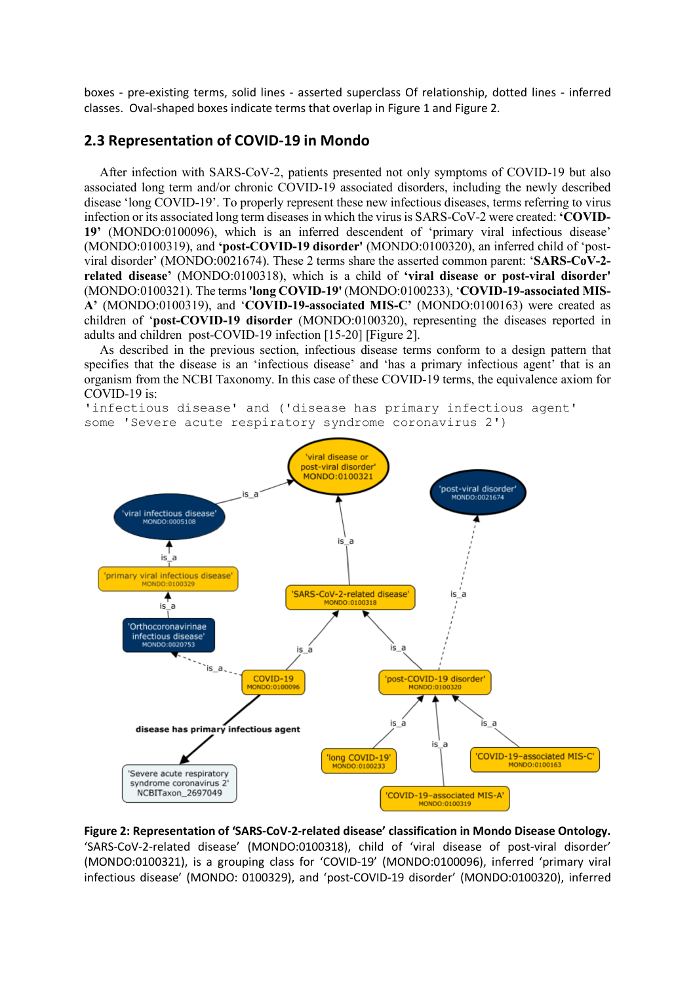boxes - pre-existing terms, solid lines - asserted superclass Of relationship, dotted lines - inferred classes. Oval-shaped boxes indicate terms that overlap in Figure 1 and Figure 2.

### **2.3 Representation of COVID-19 in Mondo**

After infection with SARS-CoV-2, patients presented not only symptoms of COVID-19 but also associated long term and/or chronic COVID-19 associated disorders, including the newly described disease 'long COVID-19'. To properly represent these new infectious diseases, terms referring to virus infection or its associated long term diseases in which the virus is SARS-CoV-2 were created: **'COVID-19'** (MONDO:0100096), which is an inferred descendent of 'primary viral infectious disease' (MONDO:0100319), and **'post-COVID-19 disorder'** (MONDO:0100320), an inferred child of 'postviral disorder' (MONDO:0021674). These 2 terms share the asserted common parent: '**SARS-CoV-2 related disease'** (MONDO:0100318), which is a child of **'viral disease or post-viral disorder'** (MONDO:0100321). The terms**'long COVID-19'** (MONDO:0100233), '**COVID-19-associated MIS-A'** (MONDO:0100319), and '**COVID-19-associated MIS-C'** (MONDO:0100163) were created as children of '**post-COVID-19 disorder** (MONDO:0100320), representing the diseases reported in adults and children post-COVID-19 infection [15-20] [Figure 2].

As described in the previous section, infectious disease terms conform to a design pattern that specifies that the disease is an 'infectious disease' and 'has a primary infectious agent' that is an organism from the NCBI Taxonomy. In this case of these COVID-19 terms, the equivalence axiom for COVID-19 is:

'infectious disease' and ('disease has primary infectious agent' some 'Severe acute respiratory syndrome coronavirus 2')



**Figure 2: Representation of 'SARS-CoV-2-related disease' classification in Mondo Disease Ontology.** 'SARS-CoV-2-related disease' (MONDO:0100318), child of 'viral disease of post-viral disorder' (MONDO:0100321), is a grouping class for 'COVID-19' (MONDO:0100096), inferred 'primary viral infectious disease' (MONDO: 0100329), and 'post-COVID-19 disorder' (MONDO:0100320), inferred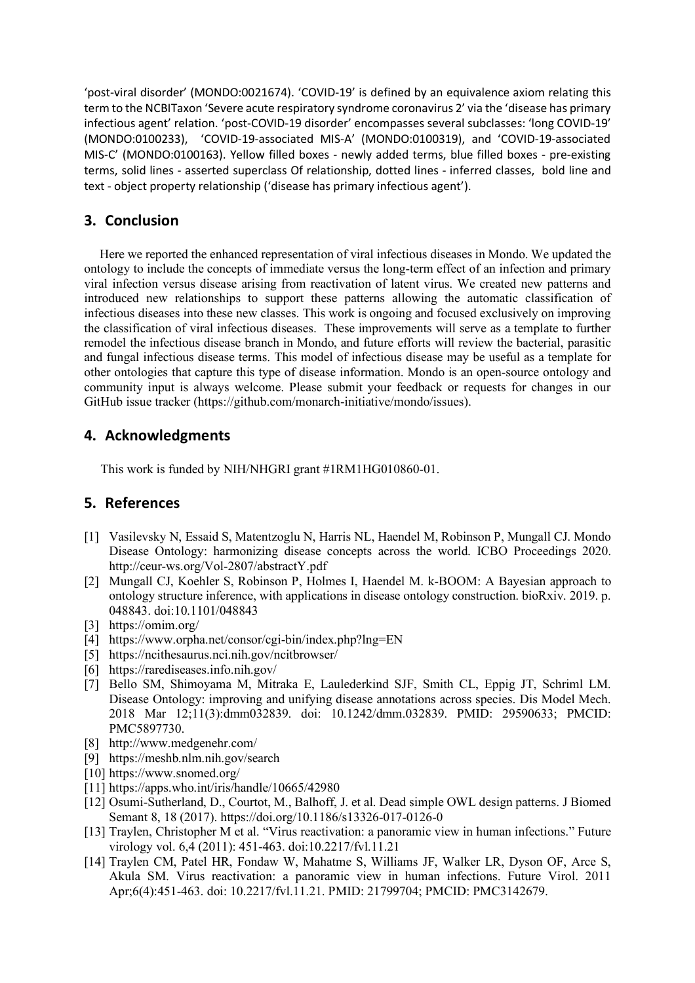'post-viral disorder' (MONDO:0021674). 'COVID-19' is defined by an equivalence axiom relating this term to the NCBITaxon 'Severe acute respiratory syndrome coronavirus 2' via the 'disease has primary infectious agent' relation. 'post-COVID-19 disorder' encompasses several subclasses: 'long COVID-19' (MONDO:0100233), 'COVID-19-associated MIS-A' (MONDO:0100319), and 'COVID-19-associated MIS-C' (MONDO:0100163). Yellow filled boxes - newly added terms, blue filled boxes - pre-existing terms, solid lines - asserted superclass Of relationship, dotted lines - inferred classes, bold line and text - object property relationship ('disease has primary infectious agent').

# **3. Conclusion**

Here we reported the enhanced representation of viral infectious diseases in Mondo. We updated the ontology to include the concepts of immediate versus the long-term effect of an infection and primary viral infection versus disease arising from reactivation of latent virus. We created new patterns and introduced new relationships to support these patterns allowing the automatic classification of infectious diseases into these new classes. This work is ongoing and focused exclusively on improving the classification of viral infectious diseases. These improvements will serve as a template to further remodel the infectious disease branch in Mondo, and future efforts will review the bacterial, parasitic and fungal infectious disease terms. This model of infectious disease may be useful as a template for other ontologies that capture this type of disease information. Mondo is an open-source ontology and community input is always welcome. Please submit your feedback or requests for changes in our GitHub issue tracker (https://github.com/monarch-initiative/mondo/issues).

## **4. Acknowledgments**

This work is funded by NIH/NHGRI grant #1RM1HG010860-01.

#### **5. References**

- [1] Vasilevsky N, Essaid S, Matentzoglu N, Harris NL, Haendel M, Robinson P, Mungall CJ. Mondo Disease Ontology: harmonizing disease concepts across the world. ICBO Proceedings 2020. http://ceur-ws.org/Vol-2807/abstractY.pdf
- [2] Mungall CJ, Koehler S, Robinson P, Holmes I, Haendel M. k-BOOM: A Bayesian approach to ontology structure inference, with applications in disease ontology construction. bioRxiv. 2019. p. 048843. doi:10.1101/048843
- [3] https://omim.org/
- [4] https://www.orpha.net/consor/cgi-bin/index.php?lng=EN
- [5] https://ncithesaurus.nci.nih.gov/ncitbrowser/
- [6] https://rarediseases.info.nih.gov/
- [7] Bello SM, Shimoyama M, Mitraka E, Laulederkind SJF, Smith CL, Eppig JT, Schriml LM. Disease Ontology: improving and unifying disease annotations across species. Dis Model Mech. 2018 Mar 12;11(3):dmm032839. doi: 10.1242/dmm.032839. PMID: 29590633; PMCID: PMC5897730.
- [8] http://www.medgenehr.com/
- [9] https://meshb.nlm.nih.gov/search
- [10] https://www.snomed.org/
- [11] https://apps.who.int/iris/handle/10665/42980
- [12] Osumi-Sutherland, D., Courtot, M., Balhoff, J. et al. Dead simple OWL design patterns. J Biomed Semant 8, 18 (2017). https://doi.org/10.1186/s13326-017-0126-0
- [13] Traylen, Christopher M et al. "Virus reactivation: a panoramic view in human infections." Future virology vol. 6,4 (2011): 451-463. doi:10.2217/fvl.11.21
- [14] Traylen CM, Patel HR, Fondaw W, Mahatme S, Williams JF, Walker LR, Dyson OF, Arce S, Akula SM. Virus reactivation: a panoramic view in human infections. Future Virol. 2011 Apr;6(4):451-463. doi: 10.2217/fvl.11.21. PMID: 21799704; PMCID: PMC3142679.